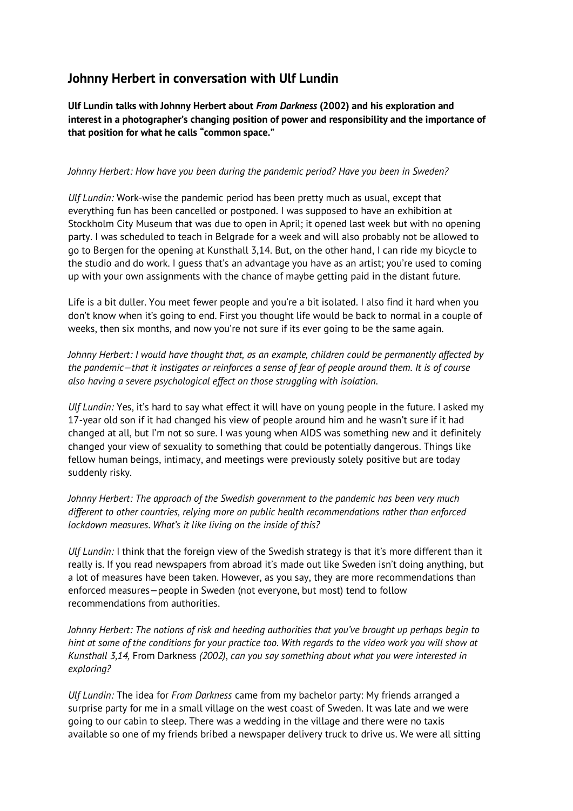## **Johnny Herbert in conversation with Ulf Lundin**

**Ulf Lundin talks with Johnny Herbert about** *From Darkness* **(2002) and his exploration and interest in a photographer's changing position of power and responsibility and the importance of that position for what he calls "common space."**

## *Johnny Herbert: How have you been during the pandemic period? Have you been in Sweden?*

*Ulf Lundin:* Work-wise the pandemic period has been pretty much as usual, except that everything fun has been cancelled or postponed. I was supposed to have an exhibition at Stockholm City Museum that was due to open in April; it opened last week but with no opening party. I was scheduled to teach in Belgrade for a week and will also probably not be allowed to go to Bergen for the opening at Kunsthall 3,14. But, on the other hand, I can ride my bicycle to the studio and do work. I guess that's an advantage you have as an artist; you're used to coming up with your own assignments with the chance of maybe getting paid in the distant future.

Life is a bit duller. You meet fewer people and you're a bit isolated. I also find it hard when you don't know when it's going to end. First you thought life would be back to normal in a couple of weeks, then six months, and now you're not sure if its ever going to be the same again.

*Johnny Herbert: I would have thought that, as an example, children could be permanently affected by the pandemic—that it instigates or reinforces a sense of fear of people around them. It is of course also having a severe psychological effect on those struggling with isolation.*

*Ulf Lundin:* Yes, it's hard to say what effect it will have on young people in the future. I asked my 17-year old son if it had changed his view of people around him and he wasn't sure if it had changed at all, but I'm not so sure. I was young when AIDS was something new and it definitely changed your view of sexuality to something that could be potentially dangerous. Things like fellow human beings, intimacy, and meetings were previously solely positive but are today suddenly risky.

*Johnny Herbert: The approach of the Swedish government to the pandemic has been very much different to other countries, relying more on public health recommendations rather than enforced lockdown measures. What's it like living on the inside of this?*

*Ulf Lundin:* I think that the foreign view of the Swedish strategy is that it's more different than it really is. If you read newspapers from abroad it's made out like Sweden isn't doing anything, but a lot of measures have been taken. However, as you say, they are more recommendations than enforced measures—people in Sweden (not everyone, but most) tend to follow recommendations from authorities.

*Johnny Herbert: The notions of risk and heeding authorities that you've brought up perhaps begin to hint at some of the conditions for your practice too. With regards to the video work you will show at Kunsthall 3,14,* From Darkness *(2002)*, *can you say something about what you were interested in exploring?*

*Ulf Lundin:* The idea for *From Darkness* came from my bachelor party: My friends arranged a surprise party for me in a small village on the west coast of Sweden. It was late and we were going to our cabin to sleep. There was a wedding in the village and there were no taxis available so one of my friends bribed a newspaper delivery truck to drive us. We were all sitting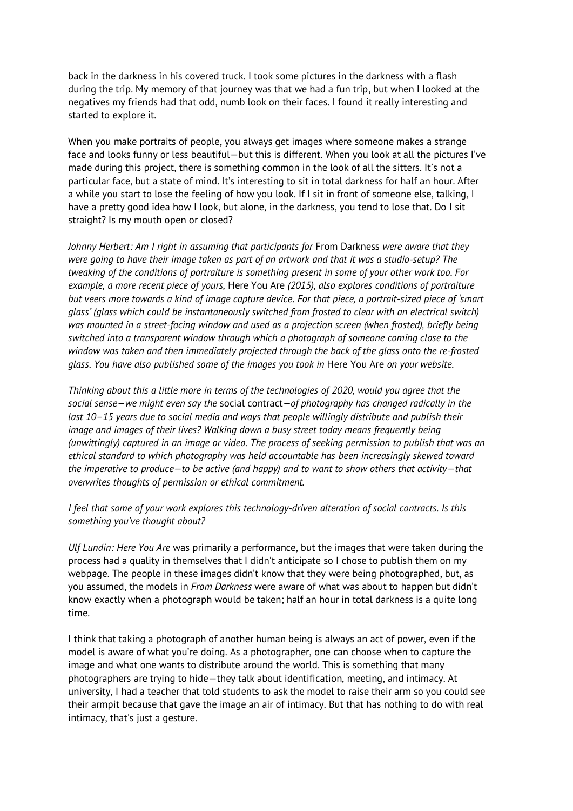back in the darkness in his covered truck. I took some pictures in the darkness with a flash during the trip. My memory of that journey was that we had a fun trip, but when I looked at the negatives my friends had that odd, numb look on their faces. I found it really interesting and started to explore it.

When you make portraits of people, you always get images where someone makes a strange face and looks funny or less beautiful—but this is different. When you look at all the pictures I've made during this project, there is something common in the look of all the sitters. It's not a particular face, but a state of mind. It's interesting to sit in total darkness for half an hour. After a while you start to lose the feeling of how you look. If I sit in front of someone else, talking, I have a pretty good idea how I look, but alone, in the darkness, you tend to lose that. Do I sit straight? Is my mouth open or closed?

*Johnny Herbert: Am I right in assuming that participants for From Darkness were aware that they were going to have their image taken as part of an artwork and that it was a studio-setup? The tweaking of the conditions of portraiture is something present in some of your other work too. For example, a more recent piece of yours,* Here You Are *(2015), also explores conditions of portraiture but veers more towards a kind of image capture device. For that piece, a portrait-sized piece of 'smart glass' (glass which could be instantaneously switched from frosted to clear with an electrical switch) was mounted in a street-facing window and used as a projection screen (when frosted), briefly being switched into a transparent window through which a photograph of someone coming close to the window was taken and then immediately projected through the back of the glass onto the re-frosted glass. You have also published some of the images you took in* Here You Are *on your website.* 

*Thinking about this a little more in terms of the technologies of 2020, would you agree that the social sense—we might even say the* social contract*—of photography has changed radically in the last 10–15 years due to social media and ways that people willingly distribute and publish their image and images of their lives? Walking down a busy street today means frequently being (unwittingly) captured in an image or video. The process of seeking permission to publish that was an ethical standard to which photography was held accountable has been increasingly skewed toward the imperative to produce—to be active (and happy) and to want to show others that activity—that overwrites thoughts of permission or ethical commitment.* 

*I feel that some of your work explores this technology-driven alteration of social contracts. Is this something you've thought about?*

*Ulf Lundin: Here You Are* was primarily a performance, but the images that were taken during the process had a quality in themselves that I didn't anticipate so I chose to publish them on my webpage. The people in these images didn't know that they were being photographed, but, as you assumed, the models in *From Darkness* were aware of what was about to happen but didn't know exactly when a photograph would be taken; half an hour in total darkness is a quite long time.

I think that taking a photograph of another human being is always an act of power, even if the model is aware of what you're doing. As a photographer, one can choose when to capture the image and what one wants to distribute around the world. This is something that many photographers are trying to hide—they talk about identification, meeting, and intimacy. At university, I had a teacher that told students to ask the model to raise their arm so you could see their armpit because that gave the image an air of intimacy. But that has nothing to do with real intimacy, that's just a gesture.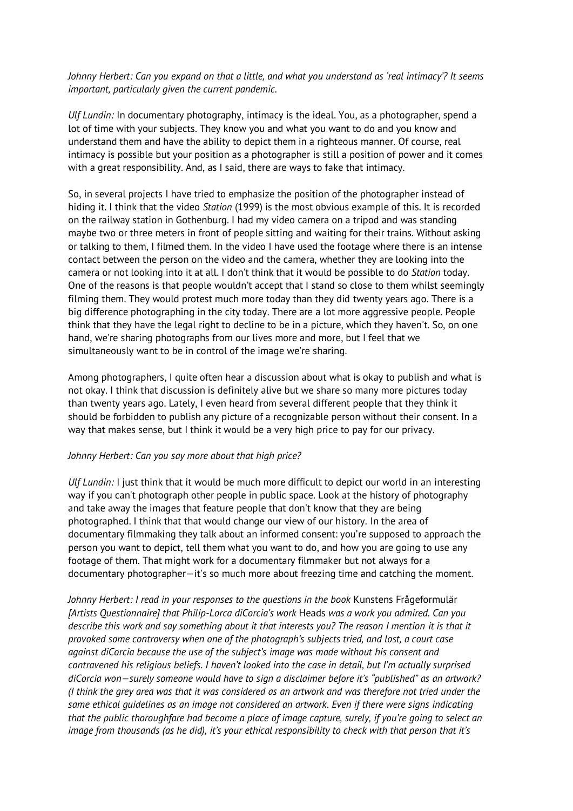*Johnny Herbert: Can you expand on that a little, and what you understand as 'real intimacy'? It seems important, particularly given the current pandemic.*

*Ulf Lundin:* In documentary photography, intimacy is the ideal. You, as a photographer, spend a lot of time with your subjects. They know you and what you want to do and you know and understand them and have the ability to depict them in a righteous manner. Of course, real intimacy is possible but your position as a photographer is still a position of power and it comes with a great responsibility. And, as I said, there are ways to fake that intimacy.

So, in several projects I have tried to emphasize the position of the photographer instead of hiding it. I think that the video *Station* (1999) is the most obvious example of this. It is recorded on the railway station in Gothenburg. I had my video camera on a tripod and was standing maybe two or three meters in front of people sitting and waiting for their trains. Without asking or talking to them, I filmed them. In the video I have used the footage where there is an intense contact between the person on the video and the camera, whether they are looking into the camera or not looking into it at all. I don't think that it would be possible to do *Station* today. One of the reasons is that people wouldn't accept that I stand so close to them whilst seemingly filming them. They would protest much more today than they did twenty years ago. There is a big difference photographing in the city today. There are a lot more aggressive people. People think that they have the legal right to decline to be in a picture, which they haven't. So, on one hand, we're sharing photographs from our lives more and more, but I feel that we simultaneously want to be in control of the image we're sharing.

Among photographers, I quite often hear a discussion about what is okay to publish and what is not okay. I think that discussion is definitely alive but we share so many more pictures today than twenty years ago. Lately, I even heard from several different people that they think it should be forbidden to publish any picture of a recognizable person without their consent. In a way that makes sense, but I think it would be a very high price to pay for our privacy.

## *Johnny Herbert: Can you say more about that high price?*

*Ulf Lundin:* I just think that it would be much more difficult to depict our world in an interesting way if you can't photograph other people in public space. Look at the history of photography and take away the images that feature people that don't know that they are being photographed. I think that that would change our view of our history. In the area of documentary filmmaking they talk about an informed consent: you're supposed to approach the person you want to depict, tell them what you want to do, and how you are going to use any footage of them. That might work for a documentary filmmaker but not always for a documentary photographer—it's so much more about freezing time and catching the moment.

*Johnny Herbert: I read in your responses to the questions in the book* Kunstens Frågeformulär *[Artists Questionnaire] that Philip-Lorca diCorcia's work* Heads *was a work you admired. Can you describe this work and say something about it that interests you? The reason I mention it is that it provoked some controversy when one of the photograph's subjects tried, and lost, a court case against diCorcia because the use of the subject's image was made without his consent and contravened his religious beliefs. I haven't looked into the case in detail, but I'm actually surprised diCorcia won—surely someone would have to sign a disclaimer before it's "published" as an artwork? (I think the grey area was that it was considered as an artwork and was therefore not tried under the same ethical guidelines as an image not considered an artwork. Even if there were signs indicating that the public thoroughfare had become a place of image capture, surely, if you're going to select an image from thousands (as he did), it's your ethical responsibility to check with that person that it's*